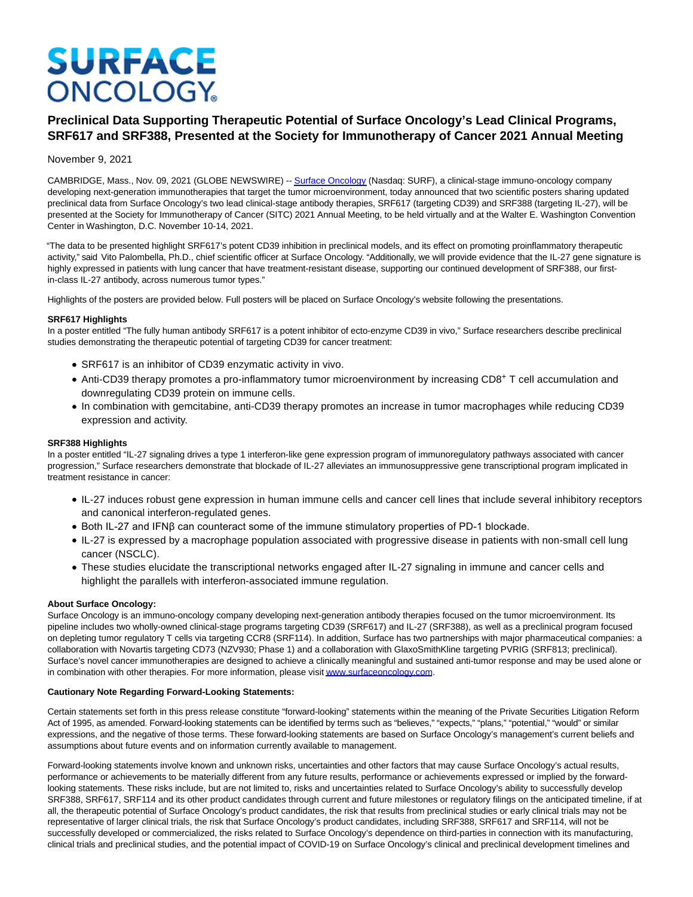# **SURFACE ONCOLOGY**

## **Preclinical Data Supporting Therapeutic Potential of Surface Oncology's Lead Clinical Programs, SRF617 and SRF388, Presented at the Society for Immunotherapy of Cancer 2021 Annual Meeting**

#### November 9, 2021

CAMBRIDGE, Mass., Nov. 09, 2021 (GLOBE NEWSWIRE) -[- Surface Oncology \(](https://www.globenewswire.com/Tracker?data=_AeNlwiySazL24J-jcR56pD9Bm0lU_wVx0ENtrawhaY52FPcAQd9pSMLqp6bjS0-WxepEfT6vbZxTNgb-MZxlMh0jL9pLyfW7NBPyzpDGkU=)Nasdaq: SURF), a clinical-stage immuno-oncology company developing next-generation immunotherapies that target the tumor microenvironment, today announced that two scientific posters sharing updated preclinical data from Surface Oncology's two lead clinical-stage antibody therapies, SRF617 (targeting CD39) and SRF388 (targeting IL-27), will be presented at the Society for Immunotherapy of Cancer (SITC) 2021 Annual Meeting, to be held virtually and at the Walter E. Washington Convention Center in Washington, D.C. November 10-14, 2021.

"The data to be presented highlight SRF617's potent CD39 inhibition in preclinical models, and its effect on promoting proinflammatory therapeutic activity," said Vito Palombella, Ph.D., chief scientific officer at Surface Oncology. "Additionally, we will provide evidence that the IL-27 gene signature is highly expressed in patients with lung cancer that have treatment-resistant disease, supporting our continued development of SRF388, our firstin-class IL-27 antibody, across numerous tumor types."

Highlights of the posters are provided below. Full posters will be placed on Surface Oncology's website following the presentations.

#### **SRF617 Highlights**

In a poster entitled "The fully human antibody SRF617 is a potent inhibitor of ecto-enzyme CD39 in vivo," Surface researchers describe preclinical studies demonstrating the therapeutic potential of targeting CD39 for cancer treatment:

- SRF617 is an inhibitor of CD39 enzymatic activity in vivo.
- Anti-CD39 therapy promotes a pro-inflammatory tumor microenvironment by increasing CD8+ T cell accumulation and downregulating CD39 protein on immune cells.
- In combination with gemcitabine, anti-CD39 therapy promotes an increase in tumor macrophages while reducing CD39 expression and activity.

#### **SRF388 Highlights**

In a poster entitled "IL-27 signaling drives a type 1 interferon-like gene expression program of immunoregulatory pathways associated with cancer progression," Surface researchers demonstrate that blockade of IL-27 alleviates an immunosuppressive gene transcriptional program implicated in treatment resistance in cancer:

- IL-27 induces robust gene expression in human immune cells and cancer cell lines that include several inhibitory receptors and canonical interferon-regulated genes.
- Both IL-27 and IFNβ can counteract some of the immune stimulatory properties of PD-1 blockade.
- IL-27 is expressed by a macrophage population associated with progressive disease in patients with non-small cell lung cancer (NSCLC).
- These studies elucidate the transcriptional networks engaged after IL-27 signaling in immune and cancer cells and highlight the parallels with interferon-associated immune regulation.

#### **About Surface Oncology:**

Surface Oncology is an immuno-oncology company developing next-generation antibody therapies focused on the tumor microenvironment. Its pipeline includes two wholly-owned clinical-stage programs targeting CD39 (SRF617) and IL-27 (SRF388), as well as a preclinical program focused on depleting tumor regulatory T cells via targeting CCR8 (SRF114). In addition, Surface has two partnerships with major pharmaceutical companies: a collaboration with Novartis targeting CD73 (NZV930; Phase 1) and a collaboration with GlaxoSmithKline targeting PVRIG (SRF813; preclinical). Surface's novel cancer immunotherapies are designed to achieve a clinically meaningful and sustained anti-tumor response and may be used alone or in combination with other therapies. For more information, please visi[t www.surfaceoncology.com.](https://www.globenewswire.com/Tracker?data=kg-APPNeepxLZyYlLGsWcJldvr3SqA8ZI1XvXvTt1GNFS3rfsvNqwC3AY5pEZWQ2bOOE9WfZRz0iFOf2Hn6T87mCnz6K0c25TF1i5rShpthr5NFqcJ6T-TTtHb3K-mBWlXmKziRfZeaNZ7XWr8ck4Gvhee-y405pWplYPVLhVqp9tBfadGQZLvyDtS9A4uUFSQwifnau_INRjmvPCgNl-Rm7laHZ4JPbnjwLDqgbFJUuMaRHIG_Rgnp5GHpjfuMe7-Hl30wNGTFNrovQjvVbuw==)

### **Cautionary Note Regarding Forward-Looking Statements:**

Certain statements set forth in this press release constitute "forward-looking" statements within the meaning of the Private Securities Litigation Reform Act of 1995, as amended. Forward-looking statements can be identified by terms such as "believes," "expects," "plans," "potential," "would" or similar expressions, and the negative of those terms. These forward-looking statements are based on Surface Oncology's management's current beliefs and assumptions about future events and on information currently available to management.

Forward-looking statements involve known and unknown risks, uncertainties and other factors that may cause Surface Oncology's actual results, performance or achievements to be materially different from any future results, performance or achievements expressed or implied by the forwardlooking statements. These risks include, but are not limited to, risks and uncertainties related to Surface Oncology's ability to successfully develop SRF388, SRF617, SRF114 and its other product candidates through current and future milestones or regulatory filings on the anticipated timeline, if at all, the therapeutic potential of Surface Oncology's product candidates, the risk that results from preclinical studies or early clinical trials may not be representative of larger clinical trials, the risk that Surface Oncology's product candidates, including SRF388, SRF617 and SRF114, will not be successfully developed or commercialized, the risks related to Surface Oncology's dependence on third-parties in connection with its manufacturing, clinical trials and preclinical studies, and the potential impact of COVID-19 on Surface Oncology's clinical and preclinical development timelines and